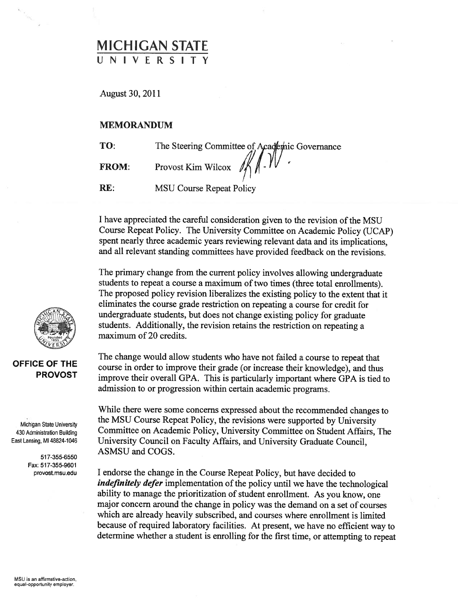## MICHIGAN STATE UNIVERSITY

August 30, 2011

## MEMORANDUM

TO: The Steering Committee of Academic Governance

FROM:

Provost Kim Wilcox /

RE: MSU Course Repeat Policy

<sup>I</sup> have appreciated the careful consideration given to the revision of the MSU Course Repeat Policy. The University Committee on Academic Policy (UCAP) spen<sup>t</sup> nearly three academic years reviewing relevant data and its implications, and all relevant standing committees have provided feedback on the revisions.

The primary change from the current policy involves allowing undergraduate students to repea<sup>t</sup> <sup>a</sup> course <sup>a</sup> maximum of two times (three total enrollments). The propose<sup>d</sup> policy revision liberalizes the existing policy to the extent that it eliminates the course grade restriction on repeating <sup>a</sup> course for credit for undergraduate students, but does not change existing policy for graduate students. Additionally, the revision retains the restriction on repeating <sup>a</sup> maximum of 20 credits.

## OFFICE OF THE PROVOST

2

Michigan State University 430 Administration Building East Lansing, Ml 48824-1046

> 517-355-6550 Fax: 517-355-9601 provost.msu.edu

The change would allow students who have not failed <sup>a</sup> course to repea<sup>t</sup> that course in order to improve their grade (or increase their knowledge), and thus improve their overall GPA. This is particularly important where GPA is tied to admission to or progression within certain academic programs.

While there were some concerns expresse<sup>d</sup> about the recommended changes to the MSU Course Repeat Policy, the revisions were supported by University Committee on Academic Policy, University Committee on Student Affairs, The University Council on Faculty Affairs, and University Graduate Council, ASMSU and COGS.

<sup>I</sup> endorse the change in the Course Repeat Policy, but have decided to indefinitely defer implementation of the policy until we have the technological ability to manage the prioritization of student enrollment. As you know, one major concern around the change in policy was the demand on <sup>a</sup> set of courses which are already heavily subscribed, and courses where enrollment is limited because of required laboratory facilities. At present, we have no efficient way to determine whether <sup>a</sup> student is enrolling for the first time, or attempting to repea<sup>t</sup>